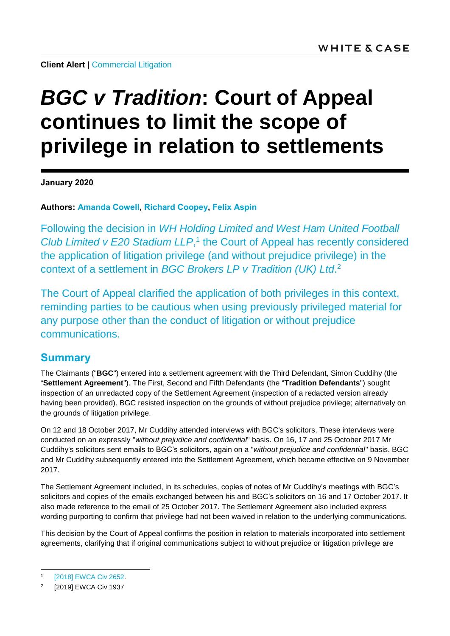**Client Alert | [Commercial Litigation](https://www.whitecase.com/law/practices/commercial-litigation)** 

# *BGC v Tradition***: Court of Appeal continues to limit the scope of privilege in relation to settlements**

**January 2020**

**Authors: [Amanda Cowell,](https://www.whitecase.com/people/amanda-cowell) [Richard Coopey,](https://www.whitecase.com/people/richard-coopey) [Felix Aspin](https://www.whitecase.com/people/felix-aspin)**

Following the decision in *WH Holding Limited and West Ham United Football Club Limited v E20 Stadium LLP*, 1 the Court of Appeal has recently considered the application of litigation privilege (and without prejudice privilege) in the context of a settlement in *BGC Brokers LP v Tradition (UK) Ltd*. 2

The Court of Appeal clarified the application of both privileges in this context, reminding parties to be cautious when using previously privileged material for any purpose other than the conduct of litigation or without prejudice communications.

#### **Summary**

The Claimants ("**BGC**") entered into a settlement agreement with the Third Defendant, Simon Cuddihy (the "**Settlement Agreement**"). The First, Second and Fifth Defendants (the "**Tradition Defendants**") sought inspection of an unredacted copy of the Settlement Agreement (inspection of a redacted version already having been provided). BGC resisted inspection on the grounds of without prejudice privilege; alternatively on the grounds of litigation privilege.

On 12 and 18 October 2017, Mr Cuddihy attended interviews with BGC's solicitors. These interviews were conducted on an expressly "*without prejudice and confidential*" basis. On 16, 17 and 25 October 2017 Mr Cuddihy's solicitors sent emails to BGC's solicitors, again on a "*without prejudice and confidential*" basis. BGC and Mr Cuddihy subsequently entered into the Settlement Agreement, which became effective on 9 November 2017.

The Settlement Agreement included, in its schedules, copies of notes of Mr Cuddihy's meetings with BGC's solicitors and copies of the emails exchanged between his and BGC's solicitors on 16 and 17 October 2017. It also made reference to the email of 25 October 2017. The Settlement Agreement also included express wording purporting to confirm that privilege had not been waived in relation to the underlying communications.

This decision by the Court of Appeal confirms the position in relation to materials incorporated into settlement agreements, clarifying that if original communications subject to without prejudice or litigation privilege are

l 1 [\[2018\] EWCA Civ 2652.](https://www.whitecase.com/publications/alert/west-ham-united-fc-and-london-stadium-west-ham-score-internal-discussions)

<sup>2</sup> [2019] EWCA Civ 1937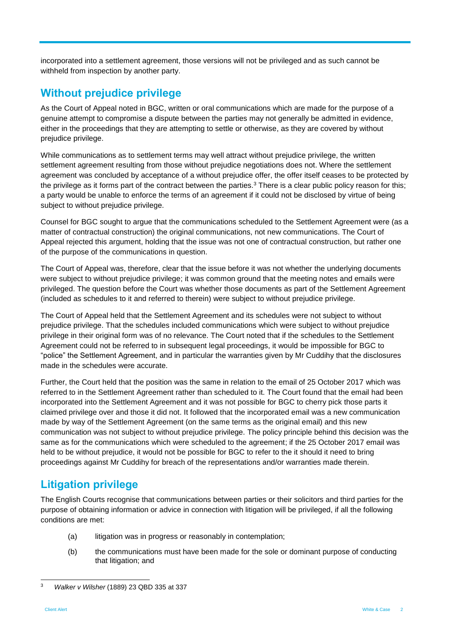incorporated into a settlement agreement, those versions will not be privileged and as such cannot be withheld from inspection by another party.

### **Without prejudice privilege**

As the Court of Appeal noted in BGC, written or oral communications which are made for the purpose of a genuine attempt to compromise a dispute between the parties may not generally be admitted in evidence, either in the proceedings that they are attempting to settle or otherwise, as they are covered by without prejudice privilege.

While communications as to settlement terms may well attract without prejudice privilege, the written settlement agreement resulting from those without prejudice negotiations does not. Where the settlement agreement was concluded by acceptance of a without prejudice offer, the offer itself ceases to be protected by the privilege as it forms part of the contract between the parties.<sup>3</sup> There is a clear public policy reason for this; a party would be unable to enforce the terms of an agreement if it could not be disclosed by virtue of being subject to without prejudice privilege.

Counsel for BGC sought to argue that the communications scheduled to the Settlement Agreement were (as a matter of contractual construction) the original communications, not new communications. The Court of Appeal rejected this argument, holding that the issue was not one of contractual construction, but rather one of the purpose of the communications in question.

The Court of Appeal was, therefore, clear that the issue before it was not whether the underlying documents were subject to without prejudice privilege; it was common ground that the meeting notes and emails were privileged. The question before the Court was whether those documents as part of the Settlement Agreement (included as schedules to it and referred to therein) were subject to without prejudice privilege.

The Court of Appeal held that the Settlement Agreement and its schedules were not subject to without prejudice privilege. That the schedules included communications which were subject to without prejudice privilege in their original form was of no relevance. The Court noted that if the schedules to the Settlement Agreement could not be referred to in subsequent legal proceedings, it would be impossible for BGC to "police" the Settlement Agreement, and in particular the warranties given by Mr Cuddihy that the disclosures made in the schedules were accurate.

Further, the Court held that the position was the same in relation to the email of 25 October 2017 which was referred to in the Settlement Agreement rather than scheduled to it. The Court found that the email had been incorporated into the Settlement Agreement and it was not possible for BGC to cherry pick those parts it claimed privilege over and those it did not. It followed that the incorporated email was a new communication made by way of the Settlement Agreement (on the same terms as the original email) and this new communication was not subject to without prejudice privilege. The policy principle behind this decision was the same as for the communications which were scheduled to the agreement; if the 25 October 2017 email was held to be without prejudice, it would not be possible for BGC to refer to the it should it need to bring proceedings against Mr Cuddihy for breach of the representations and/or warranties made therein.

## **Litigation privilege**

The English Courts recognise that communications between parties or their solicitors and third parties for the purpose of obtaining information or advice in connection with litigation will be privileged, if all the following conditions are met:

- (a) litigation was in progress or reasonably in contemplation;
- (b) the communications must have been made for the sole or dominant purpose of conducting that litigation; and

<sup>3</sup> <sup>3</sup> *Walker v Wilsher* (1889) 23 QBD 335 at 337